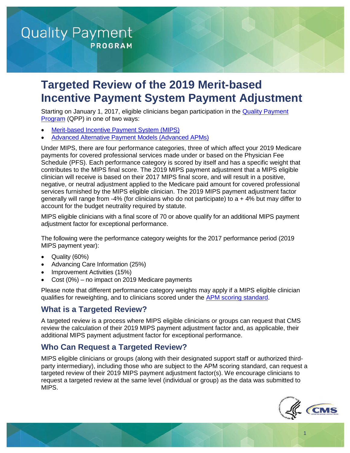# **Quality Payment**

**PROGRAM** 

# **Targeted Review of the 2019 Merit-based Incentive Payment System Payment Adjustment**

Starting on January 1, 2017, eligible clinicians began participation in the **Quality Payment** [Program](https://qpp.cms.gov/) (QPP) in one of two ways:

- Merit-based Incentive Payment System (MIPS)
- Advanced Alternative Payment Models (Advanced APMs)

 Under MIPS, there are four performance categories, three of which affect your 2019 Medicare payments for covered professional services made under or based on the Physician Fee Schedule (PFS). Each performance category is scored by itself and has a specific weight that contributes to the MIPS final score. The 2019 MIPS payment adjustment that a MIPS eligible clinician will receive is based on their 2017 MIPS final score, and will result in a positive, negative, or neutral adjustment applied to the Medicare paid amount for covered professional services furnished by the MIPS eligible clinician. The 2019 MIPS payment adjustment factor generally will range from -4% (for clinicians who do not participate) to a + 4% but may differ to account for the budget neutrality required by statute.

 MIPS eligible clinicians with a final score of 70 or above qualify for an additional MIPS payment adjustment factor for exceptional performance.

 The following were the performance category weights for the 2017 performance period (2019 MIPS payment year):

- Quality (60%)
- Advancing Care Information (25%)
- Improvement Activities (15%)
- Cost (0%) no impact on 2019 Medicare payments

 Please note that different performance category weights may apply if a MIPS eligible clinician qualifies for reweighting, and to clinicians scored under the [APM scoring standard.](https://www.cms.gov/Medicare/Quality-Payment-Program/Resource-Library/MIPS-APMs-in-the-Quality-Payment-Program.pdf)

# **What is a Targeted Review?**

 A targeted review is a process where MIPS eligible clinicians or groups can request that CMS review the calculation of their 2019 MIPS payment adjustment factor and, as applicable, their additional MIPS payment adjustment factor for exceptional performance.

# **Who Can Request a Targeted Review?**

 MIPS eligible clinicians or groups (along with their designated support staff or authorized third- party intermediary), including those who are subject to the APM scoring standard, can request a targeted review of their 2019 MIPS payment adjustment factor(s). We encourage clinicians to request a targeted review at the same level (individual or group) as the data was submitted to MIPS.



1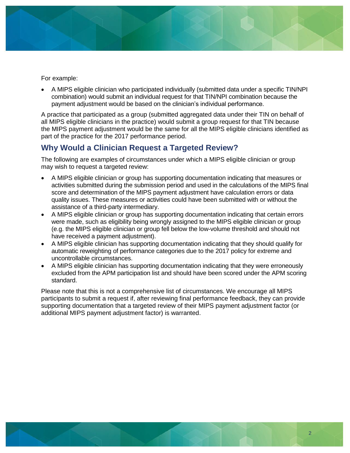

For example:

 • A MIPS eligible clinician who participated individually (submitted data under a specific TIN/NPI combination) would submit an individual request for that TIN/NPI combination because the payment adjustment would be based on the clinician's individual performance.

 A practice that participated as a group (submitted aggregated data under their TIN on behalf of all MIPS eligible clinicians in the practice) would submit a group request for that TIN because the MIPS payment adjustment would be the same for all the MIPS eligible clinicians identified as part of the practice for the 2017 performance period.

# **Why Would a Clinician Request a Targeted Review?**

 may wish to request a targeted review: The following are examples of circumstances under which a MIPS eligible clinician or group

- • A MIPS eligible clinician or group has supporting documentation indicating that measures or activities submitted during the submission period and used in the calculations of the MIPS final score and determination of the MIPS payment adjustment have calculation errors or data quality issues. These measures or activities could have been submitted with or without the assistance of a third-party intermediary.
- • A MIPS eligible clinician or group has supporting documentation indicating that certain errors were made, such as eligibility being wrongly assigned to the MIPS eligible clinician or group (e.g. the MIPS eligible clinician or group fell below the low-volume threshold and should not have received a payment adjustment).
- • A MIPS eligible clinician has supporting documentation indicating that they should qualify for automatic reweighting of performance categories due to the 2017 policy for extreme and uncontrollable circumstances.
- • A MIPS eligible clinician has supporting documentation indicating that they were erroneously excluded from the APM participation list and should have been scored under the APM scoring standard.

 Please note that this is not a comprehensive list of circumstances. We encourage all MIPS participants to submit a request if, after reviewing final performance feedback, they can provide supporting documentation that a targeted review of their MIPS payment adjustment factor (or additional MIPS payment adjustment factor) is warranted.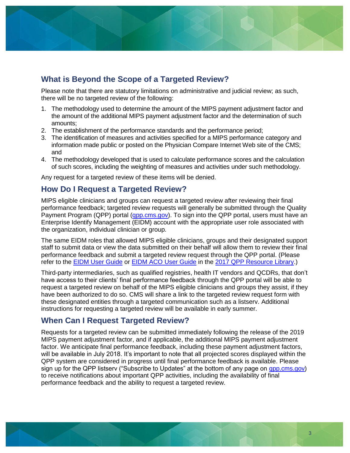

## **What is Beyond the Scope of a Targeted Review?**

 Please note that there are statutory limitations on administrative and judicial review; as such, there will be no targeted review of the following:

- 1. The methodology used to determine the amount of the MIPS payment adjustment factor and the amount of the additional MIPS payment adjustment factor and the determination of such amounts;
- 2. The establishment of the performance standards and the performance period;
- 3. The identification of measures and activities specified for a MIPS performance category and information made public or posted on the Physician Compare Internet Web site of the CMS; and
- 4. The methodology developed that is used to calculate performance scores and the calculation of such scores, including the weighting of measures and activities under such methodology.

Any request for a targeted review of these items will be denied.

#### **How Do I Request a Targeted Review?**

 MIPS eligible clinicians and groups can request a targeted review after reviewing their final performance feedback; targeted review requests will generally be submitted through the Quality Payment Program (QPP) portal (**gpp.cms.gov**). To sign into the QPP portal, users must have an Enterprise Identify Management (EIDM) account with the appropriate user role associated with the organization, individual clinician or group.

 The same EIDM roles that allowed MIPS eligible clinicians, groups and their designated support staff to submit data or view the data submitted on their behalf will allow them to review their final performance feedback and submit a targeted review request through the QPP portal. (Please refer to the **EIDM User Guide** or [EIDM ACO User Guide](https://www.cms.gov/Medicare/Quality-Payment-Program/Resource-Library/Enterprise-Identity-Data-Management-EIDM-ACO-User-Guide.pdf) in the [2017 QPP Resource Library.](https://www.cms.gov/Medicare/Quality-Payment-Program/Resource-Library/2017-Resources.html))

 Third-party intermediaries, such as qualified registries, health IT vendors and QCDRs, that don't have access to their clients' final performance feedback through the QPP portal will be able to request a targeted review on behalf of the MIPS eligible clinicians and groups they assist, if they have been authorized to do so. CMS will share a link to the targeted review request form with these designated entities through a targeted communication such as a listserv. Additional instructions for requesting a targeted review will be available in early summer.

# **When Can I Request Targeted Review?**

 Requests for a targeted review can be submitted immediately following the release of the 2019 MIPS payment adjustment factor, and if applicable, the additional MIPS payment adjustment factor. We anticipate final performance feedback, including these payment adjustment factors, will be available in July 2018. It's important to note that all projected scores displayed within the QPP system are considered in progress until final performance feedback is available. Please sign up for the QPP listserv ("Subscribe to Updates" at the bottom of any page on *gpp.cms.gov)*  to receive notifications about important QPP activities, including the availability of final performance feedback and the ability to request a targeted review.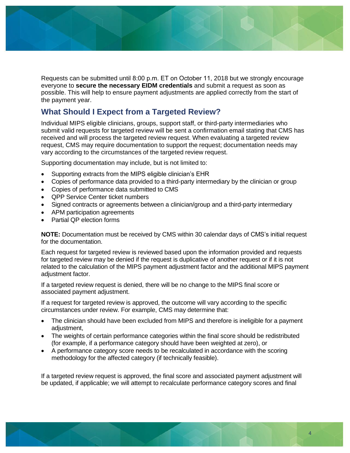

Requests can be submitted until 8:00 p.m. ET on October 11, 2018 but we strongly encourage everyone to **secure the necessary EIDM credentials** and submit a request as soon as possible. This will help to ensure payment adjustments are applied correctly from the start of the payment year.

# **What Should I Expect from a Targeted Review?**

Individual MIPS eligible clinicians, groups, support staff, or third-party intermediaries who submit valid requests for targeted review will be sent a confirmation email stating that CMS has received and will process the targeted review request. When evaluating a targeted review request, CMS may require documentation to support the request; documentation needs may vary according to the circumstances of the targeted review request.

Supporting documentation may include, but is not limited to:

- Supporting extracts from the MIPS eligible clinician's EHR
- Copies of performance data provided to a third-party intermediary by the clinician or group
- Copies of performance data submitted to CMS
- QPP Service Center ticket numbers
- Signed contracts or agreements between a clinician/group and a third-party intermediary
- APM participation agreements
- Partial QP election forms

 **NOTE:** Documentation must be received by CMS within 30 calendar days of CMS's initial request for the documentation.

 Each request for targeted review is reviewed based upon the information provided and requests for targeted review may be denied if the request is duplicative of another request or if it is not related to the calculation of the MIPS payment adjustment factor and the additional MIPS payment adjustment factor.

 If a targeted review request is denied, there will be no change to the MIPS final score or associated payment adjustment.

 If a request for targeted review is approved, the outcome will vary according to the specific circumstances under review. For example, CMS may determine that:

- • The clinician should have been excluded from MIPS and therefore is ineligible for a payment adjustment,
- • The weights of certain performance categories within the final score should be redistributed (for example, if a performance category should have been weighted at zero), or
- • A performance category score needs to be recalculated in accordance with the scoring methodology for the affected category (if technically feasible).

 If a targeted review request is approved, the final score and associated payment adjustment will be updated, if applicable; we will attempt to recalculate performance category scores and final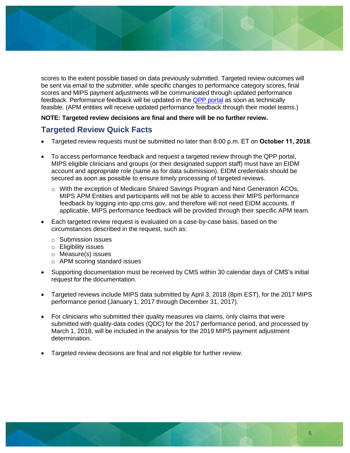

 scores to the extent possible based on data previously submitted. Targeted review outcomes will be sent via email to the submitter, while specific changes to performance category scores, final scores and MIPS payment adjustments will be communicated through updated performance feedback. Performance feedback will be updated in the **QPP portal** as soon as technically feasible. (APM entities will receive updated performance feedback through their model teams.)

#### **NOTE: Targeted review decisions are final and there will be no further review.**

### **Targeted Review Quick Facts**

- Targeted review requests must be submitted no later than 8:00 p.m. ET on **October 11, 2018**.
- To access performance feedback and request a targeted review through the QPP portal, MIPS eligible clinicians and groups (or their designated support staff) must have an EIDM account and appropriate role (same as for data submission). EIDM credentials should be secured as soon as possible to ensure timely processing of targeted reviews.
	- o With the exception of Medicare Shared Savings Program and Next Generation ACOs, MIPS APM Entities and participants will not be able to access their MIPS performance feedback by logging into qpp.cms.gov, and therefore will not need EIDM accounts. If applicable, MIPS performance feedback will be provided through their specific APM team.
- Each targeted review request is evaluated on a case-by-case basis, based on the circumstances described in the request, such as:
	- o Submission issues
	- o Eligibility issues
	- o Measure(s) issues
	- o APM scoring standard issues
- Supporting documentation must be received by CMS within 30 calendar days of CMS's initial request for the documentation.
- Targeted reviews include MIPS data submitted by April 3, 2018 (8pm EST), for the 2017 MIPS performance period (January 1, 2017 through December 31, 2017).
- For clinicians who submitted their quality measures via claims, only claims that were submitted with quality-data codes (QDC) for the 2017 performance period, and processed by March 1, 2018, will be included in the analysis for the 2019 MIPS payment adjustment determination.
- Targeted review decisions are final and not eligible for further review.